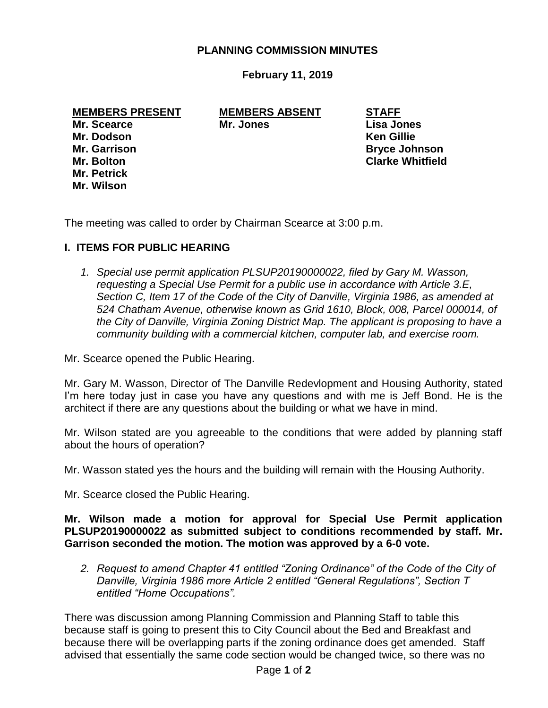#### **PLANNING COMMISSION MINUTES**

#### **February 11, 2019**

#### **MEMBERS PRESENT MEMBERS ABSENT STAFF**

**Mr. Petrick Mr. Wilson**

**Mr. Scearce Mr. Jones Lisa Jones**

**Mr. Dodson Ken Gillie Mr. Garrison Bryce Johnson Mr. Bolton Clarke Whitfield**

The meeting was called to order by Chairman Scearce at 3:00 p.m.

# **I. ITEMS FOR PUBLIC HEARING**

*1. Special use permit application PLSUP20190000022, filed by Gary M. Wasson, requesting a Special Use Permit for a public use in accordance with Article 3.E, Section C, Item 17 of the Code of the City of Danville, Virginia 1986, as amended at 524 Chatham Avenue, otherwise known as Grid 1610, Block, 008, Parcel 000014, of the City of Danville, Virginia Zoning District Map. The applicant is proposing to have a community building with a commercial kitchen, computer lab, and exercise room.*

Mr. Scearce opened the Public Hearing.

Mr. Gary M. Wasson, Director of The Danville Redevlopment and Housing Authority, stated I'm here today just in case you have any questions and with me is Jeff Bond. He is the architect if there are any questions about the building or what we have in mind.

Mr. Wilson stated are you agreeable to the conditions that were added by planning staff about the hours of operation?

Mr. Wasson stated yes the hours and the building will remain with the Housing Authority.

Mr. Scearce closed the Public Hearing.

**Mr. Wilson made a motion for approval for Special Use Permit application PLSUP20190000022 as submitted subject to conditions recommended by staff. Mr. Garrison seconded the motion. The motion was approved by a 6-0 vote.**

*2. Request to amend Chapter 41 entitled "Zoning Ordinance" of the Code of the City of Danville, Virginia 1986 more Article 2 entitled "General Regulations", Section T entitled "Home Occupations".*

There was discussion among Planning Commission and Planning Staff to table this because staff is going to present this to City Council about the Bed and Breakfast and because there will be overlapping parts if the zoning ordinance does get amended. Staff advised that essentially the same code section would be changed twice, so there was no